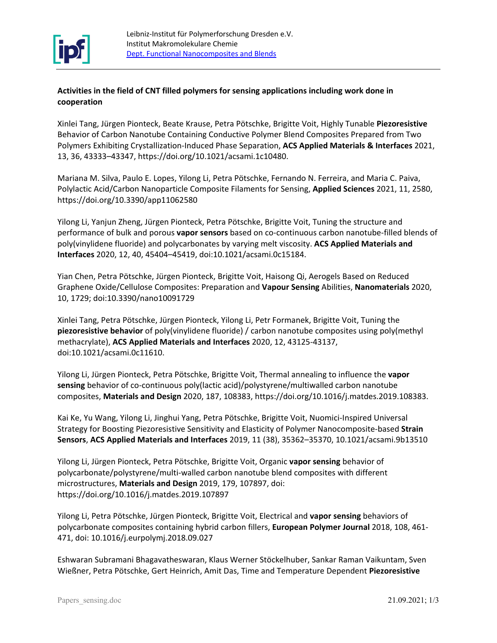

## **Activities in the field of CNT filled polymers for sensing applications including work done in cooperation**

Xinlei Tang, Jürgen Pionteck, Beate Krause, Petra Pötschke, Brigitte Voit, Highly Tunable **Piezoresistive** Behavior of Carbon Nanotube Containing Conductive Polymer Blend Composites Prepared from Two Polymers Exhibiting Crystallization-Induced Phase Separation, **ACS Applied Materials & Interfaces** 2021, 13, 36, 43333–43347, https://doi.org/10.1021/acsami.1c10480.

Mariana M. Silva, Paulo E. Lopes, Yilong Li, Petra Pötschke, Fernando N. Ferreira, and Maria C. Paiva, Polylactic Acid/Carbon Nanoparticle Composite Filaments for Sensing, **Applied Sciences** 2021, 11, 2580, https://doi.org/10.3390/app11062580

Yilong Li, Yanjun Zheng, Jürgen Pionteck, Petra Pötschke, Brigitte Voit, Tuning the structure and performance of bulk and porous **vapor sensors** based on co-continuous carbon nanotube-filled blends of poly(vinylidene fluoride) and polycarbonates by varying melt viscosity. **ACS Applied Materials and Interfaces** 2020, 12, 40, 45404–45419, doi[:10.1021/acsami.0c15184.](http://dx.doi.org/10.1021/acsami.0c15184)

Yian Chen, Petra Pötschke, Jürgen Pionteck, Brigitte Voit, Haisong Qi, Aerogels Based on Reduced Graphene Oxide/Cellulose Composites: Preparation and **Vapour Sensing** Abilities, **Nanomaterials** 2020, 10, 1729; doi:10.3390/nano10091729

Xinlei Tang, Petra Pötschke, Jürgen Pionteck, Yilong Li, Petr Formanek, Brigitte Voit, Tuning the **piezoresistive behavior** of poly(vinylidene fluoride) / carbon nanotube composites using poly(methyl methacrylate), **ACS Applied Materials and Interfaces** 2020, 12, 43125-43137, doi:10.1021/acsami.0c11610.

Yilong Li, Jürgen Pionteck, Petra Pötschke, Brigitte Voit, Thermal annealing to influence the **vapor sensing** behavior of co-continuous poly(lactic acid)/polystyrene/multiwalled carbon nanotube composites, **Materials and Design** 2020, 187, 108383, [https://doi.org/10.1016/j.matdes.2019.108383.](https://doi.org/10.1016/j.matdes.2019.108383)

Kai Ke, Yu Wang, Yilong Li, Jinghui Yang, Petra Pötschke, Brigitte Voit, Nuomici-Inspired Universal Strategy for Boosting Piezoresistive Sensitivity and Elasticity of Polymer Nanocomposite-based **Strain Sensors**, **ACS Applied Materials and Interfaces** 2019, 11 (38), 35362–35370, 10.1021/acsami.9b13510

Yilong Li, Jürgen Pionteck, Petra Pötschke, Brigitte Voit, Organic **vapor sensing** behavior of polycarbonate/polystyrene/multi-walled carbon nanotube blend composites with different microstructures, **Materials and Design** 2019, 179, 107897, doi: <https://doi.org/10.1016/j.matdes.2019.107897>

Yilong Li, Petra Pötschke, Jürgen Pionteck, Brigitte Voit, Electrical and **vapor sensing** behaviors of polycarbonate composites containing hybrid carbon fillers, **European Polymer Journal** 2018, 108, 461- 471, doi: 10.1016/j.eurpolymj.2018.09.027

Eshwaran Subramani Bhagavatheswaran, Klaus Werner Stöckelhuber, Sankar Raman Vaikuntam, Sven Wießner, Petra Pötschke, Gert Heinrich, Amit Das, Time and Temperature Dependent **Piezoresistive**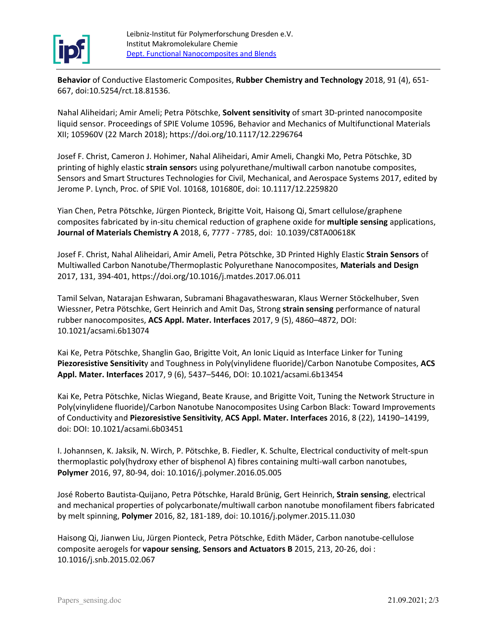

**Behavior** of Conductive Elastomeric Composites, **[Rubber Chemistry and Technology](http://www.rubberchemtechnol.org/loi/rcat)** 2018, 91 (4), 651- 667, doi:10.5254/rct.18.81536.

[Nahal Aliheidari;](https://www.spiedigitallibrary.org/profile/notfound?author=Nahal_Aliheidari) [Amir Ameli;](https://www.spiedigitallibrary.org/profile/notfound?author=Amir_Ameli) [Petra Pötschke,](https://www.spiedigitallibrary.org/profile/notfound?author=Petra_P%C3%B6tschke) **Solvent sensitivity** of smart 3D-printed nanocomposite liquid sensor. [Proceedings of SPIE Volume 10596, Behavior and Mechanics of Multifunctional Materials](https://www.spiedigitallibrary.org/conference-proceedings-of-spie/10596.toc)  [XII;](https://www.spiedigitallibrary.org/conference-proceedings-of-spie/10596.toc) 105960V (22 March 2018); https://doi.org/10.1117/12.2296764

Josef F. Christ, Cameron J. Hohimer, Nahal Aliheidari, Amir Ameli, Changki Mo, Petra Pötschke, 3D printing of highly elastic **strain sensor**s using polyurethane/multiwall carbon nanotube composites, Sensors and Smart Structures Technologies for Civil, Mechanical, and Aerospace Systems 2017, edited by Jerome P. Lynch, Proc. of SPIE Vol. 10168, 101680E, doi: 10.1117/12.2259820

Yian Chen, Petra Pötschke, Jürgen Pionteck, Brigitte Voit, Haisong Qi, Smart cellulose/graphene composites fabricated by in-situ chemical reduction of graphene oxide for **multiple sensing** applications, **Journal of Materials Chemistry A** 2018, 6, [7777 -](tel:77777785) 7785, doi: 10.1039/C8TA00618K

Josef F. Christ, Nahal Aliheidari, Amir Ameli, Petra Pötschke, 3D Printed Highly Elastic **Strain Sensors** of Multiwalled Carbon Nanotube/Thermoplastic Polyurethane Nanocomposites, **Materials and Design** 2017, 131, 394-401,<https://doi.org/10.1016/j.matdes.2017.06.011>

Tamil Selvan, Natarajan Eshwaran, Subramani Bhagavatheswaran, Klaus Werner Stöckelhuber, Sven Wiessner, Petra Pötschke, Gert Heinrich and Amit Das, Strong **strain sensing** [performance of natural](http://pubs.acs.org/doi/abs/10.1021/acsami.6b13074)  [rubber nanocomposites,](http://pubs.acs.org/doi/abs/10.1021/acsami.6b13074) **ACS Appl. Mater. Interfaces** 2017, 9 (5), 4860–4872, DOI: 10.1021/acsami.6b13074

Kai Ke, Petra Pötschke, Shanglin Gao, Brigitte Voit, An Ionic Liquid as Interface Linker for Tuning **Piezoresistive Sensitivit**y and Toughness in Poly(vinylidene fluoride)/Carbon Nanotube Composites, **ACS Appl. Mater. Interfaces** 2017, 9 (6), 5437–5446, DOI: 10.1021/acsami.6b13454

Kai Ke, Petra Pötschke, Niclas Wiegand, Beate Krause, and Brigitte Voit, Tuning the Network Structure in Poly(vinylidene fluoride)/Carbon Nanotube Nanocomposites Using Carbon Black: Toward Improvements of Conductivity and **Piezoresistive Sensitivity**, **ACS Appl. Mater. Interfaces** 2016, 8 (22), 14190–14199, doi: DOI: 10.1021/acsami.6b03451

I. Johannsen, K. Jaksik, N. Wirch, P. Pötschke, B. Fiedler, K. Schulte, Electrical conductivity of melt-spun thermoplastic poly(hydroxy ether of bisphenol A) fibres containing multi-wall carbon nanotubes, **Polymer** 2016, 97, 80-94, doi: 10.1016/j.polymer.2016.05.005

José Roberto Bautista-Quijano, Petra Pötschke, Harald Brünig, Gert Heinrich, **Strain sensing**, electrical and mechanical properties of polycarbonate/multiwall carbon nanotube monofilament fibers fabricated by melt spinning, **Polymer** 2016, 82, 181-189, doi: 10.1016/j.polymer.2015.11.030

Haisong Qi, Jianwen Liu, Jürgen Pionteck, Petra Pötschke, Edith Mäder, Carbon nanotube-cellulose composite aerogels for **vapour sensing**, **Sensors and Actuators B** 2015, 213, 20-26, doi : 10.1016/j.snb.2015.02.067